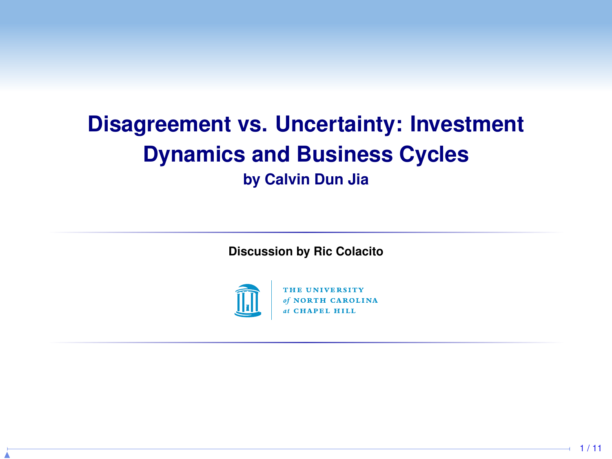# **Disagreement vs. Uncertainty: Investment Dynamics and Business Cycles**

**by Calvin Dun Jia**

**Discussion by Ric Colacito**



THE UNIVERSITY of NORTH CAROLINA at CHAPEL HILL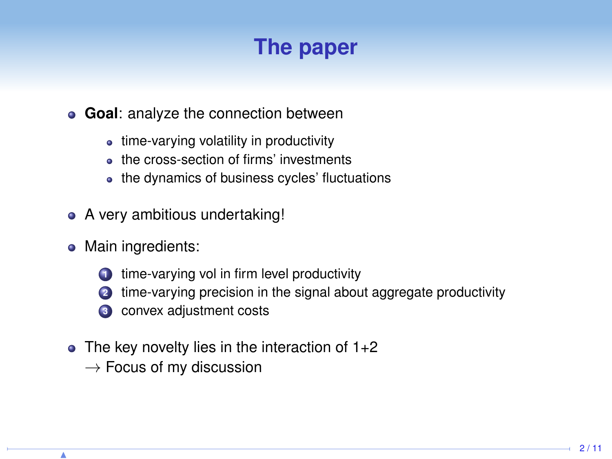# **The paper**

#### **Goal**: analyze the connection between

- time-varying volatility in productivity
- **e** the cross-section of firms' investments
- the dynamics of business cycles' fluctuations
- A very ambitious undertaking!
- Main ingredients:
	- **1** time-varying vol in firm level productivity
	- **<sup>2</sup>** time-varying precision in the signal about aggregate productivity
	- **<sup>3</sup>** convex adjustment costs
- $\bullet$  The key novelty lies in the interaction of 1+2
	- $\rightarrow$  Focus of my discussion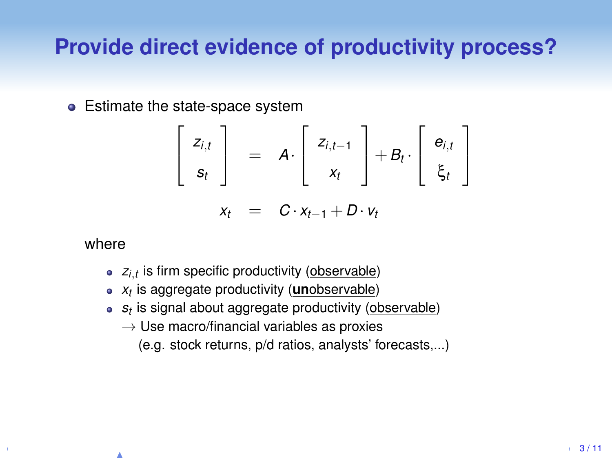#### **Provide direct evidence of productivity process?**

• Estimate the state-space system

$$
\left[\begin{array}{c} z_{i,t} \\ s_t \end{array}\right] = A \cdot \left[\begin{array}{c} z_{i,t-1} \\ x_t \end{array}\right] + B_t \cdot \left[\begin{array}{c} e_{i,t} \\ \xi_t \end{array}\right]
$$

$$
x_t = C \cdot x_{t-1} + D \cdot v_t
$$

where

- *zi*,*<sup>t</sup>* is firm specific productivity (observable)
- *xt* is aggregate productivity (**un**observable)
- *st* is signal about aggregate productivity (observable)
	- $\rightarrow$  Use macro/financial variables as proxies
		- (e.g. stock returns, p/d ratios, analysts' forecasts,...)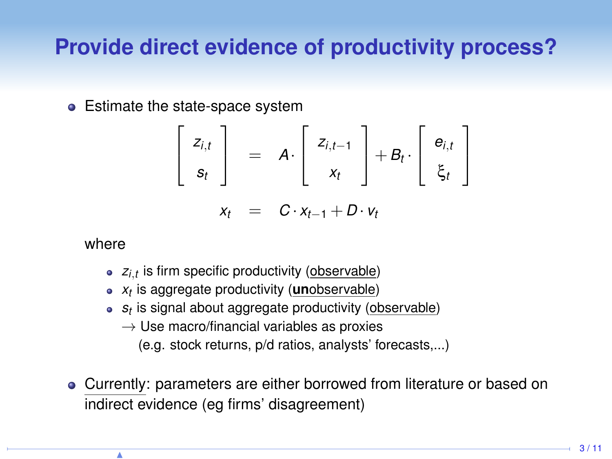### **Provide direct evidence of productivity process?**

• Estimate the state-space system

$$
\left[\begin{array}{c} z_{i,t} \\ s_t \end{array}\right] = A \cdot \left[\begin{array}{c} z_{i,t-1} \\ x_t \end{array}\right] + B_t \cdot \left[\begin{array}{c} e_{i,t} \\ \xi_t \end{array}\right]
$$

$$
x_t = C \cdot x_{t-1} + D \cdot v_t
$$

where

- *zi*,*<sup>t</sup>* is firm specific productivity (observable)
- *xt* is aggregate productivity (**un**observable)
- *st* is signal about aggregate productivity (observable)
	- $\rightarrow$  Use macro/financial variables as proxies
		- (e.g. stock returns, p/d ratios, analysts' forecasts,...)
- Currently: parameters are either borrowed from literature or based on indirect evidence (eg firms' disagreement)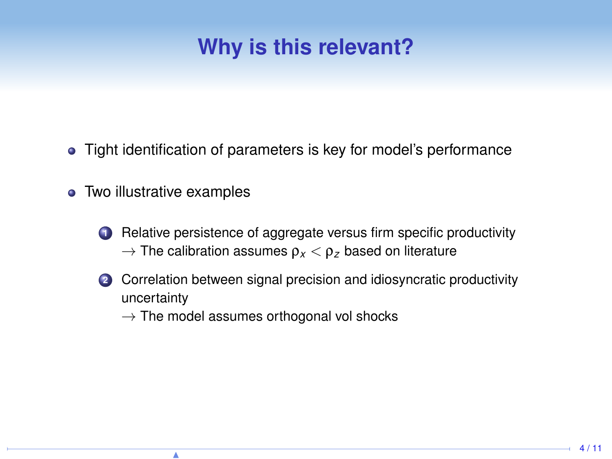# **Why is this relevant?**

- Tight identification of parameters is key for model's performance  $\bullet$
- Two illustrative examples
	- **1** Relative persistence of aggregate versus firm specific productivity  $\rightarrow$  The calibration assumes  $\rho_{x} < \rho_{z}$  based on literature
	- **<sup>2</sup>** Correlation between signal precision and idiosyncratic productivity uncertainty
		- $\rightarrow$  The model assumes orthogonal vol shocks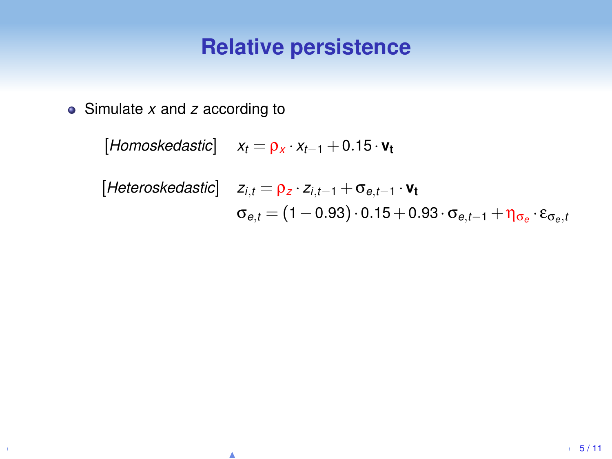Simulate *x* and *z* according to

 $[$ *Homoskedastic* $]$  *x*<sub>t</sub> =  $\rho_X \cdot x_{t-1}$  + 0.15 ·  $v_t$ 

[Heteroskedastic] 
$$
z_{i,t} = \rho_z \cdot z_{i,t-1} + \sigma_{e,t-1} \cdot \mathbf{v_t}
$$
  

$$
\sigma_{e,t} = (1 - 0.93) \cdot 0.15 + 0.93 \cdot \sigma_{e,t-1} + \eta_{\sigma_e} \cdot \varepsilon_{\sigma_e,t}
$$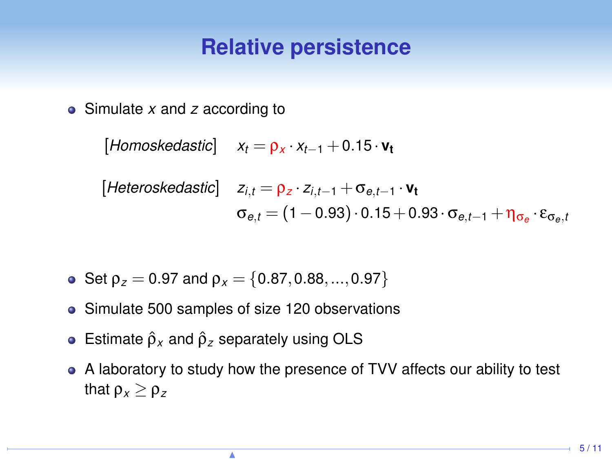Simulate *x* and *z* according to

 $[$ Homoskedastic $]$   $x_t = \rho_x \cdot x_{t-1} + 0.15 \cdot v_t$ 

[Heteroskedastic] 
$$
z_{i,t} = \rho_z \cdot z_{i,t-1} + \sigma_{e,t-1} \cdot \mathbf{v_t}
$$
  

$$
\sigma_{e,t} = (1 - 0.93) \cdot 0.15 + 0.93 \cdot \sigma_{e,t-1} + \eta_{\sigma_e} \cdot \varepsilon_{\sigma_e,t}
$$

- Set  $\rho_z = 0.97$  and  $\rho_x = \{0.87, 0.88, ..., 0.97\}$
- Simulate 500 samples of size 120 observations
- **•** Estimate  $\hat{\rho}_x$  and  $\hat{\rho}_z$  separately using OLS
- A laboratory to study how the presence of TVV affects our ability to test that  $\rho_x > \rho_z$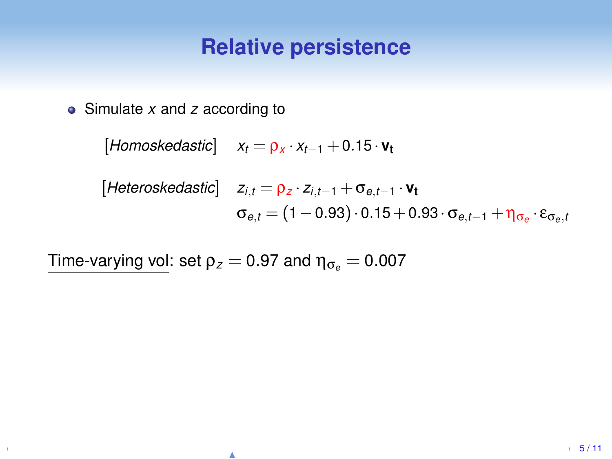Simulate *x* and *z* according to

 $[$ *Homoskedastic* $]$  *x*<sub>t</sub> =  $\rho_X \cdot x_{t-1}$  + 0.15 ·  $v_t$ 

[Heteroskedastic] 
$$
z_{i,t} = \rho_z \cdot z_{i,t-1} + \sigma_{e,t-1} \cdot \mathbf{v_t}
$$
  

$$
\sigma_{e,t} = (1 - 0.93) \cdot 0.15 + 0.93 \cdot \sigma_{e,t-1} + \eta_{\sigma_e} \cdot \varepsilon_{\sigma_e,t}
$$

Time-varying vol: set  $\rho_z = 0.97$  and  $\eta_{\sigma_e} = 0.007$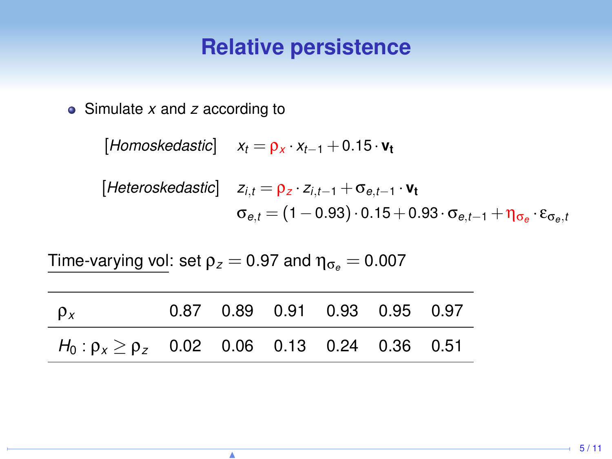Simulate *x* and *z* according to

 $[$ *Homoskedastic* $]$  *x*<sub>t</sub> =  $\rho_X \cdot x_{t-1}$  + 0.15 ·  $v_t$ 

[Heteroskedastic] 
$$
z_{i,t} = \rho_z \cdot z_{i,t-1} + \sigma_{e,t-1} \cdot \mathbf{v_t}
$$
  

$$
\sigma_{e,t} = (1 - 0.93) \cdot 0.15 + 0.93 \cdot \sigma_{e,t-1} + \eta_{\sigma_e} \cdot \varepsilon_{\sigma_e,t}
$$

Time-varying vol: set  $\rho_z = 0.97$  and  $\eta_{\sigma_e} = 0.007$ 

| $\rho_x$                                               |  | 0.87 0.89 0.91 0.93 0.95 0.97 |  |  |
|--------------------------------------------------------|--|-------------------------------|--|--|
| $H_0: \rho_x \ge \rho_z$ 0.02 0.06 0.13 0.24 0.36 0.51 |  |                               |  |  |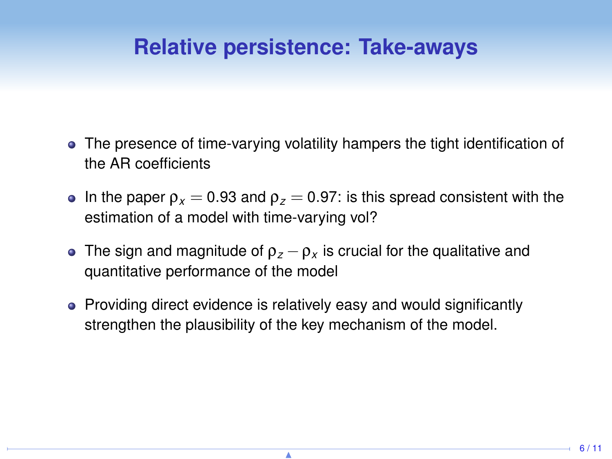## **Relative persistence: Take-aways**

- The presence of time-varying volatility hampers the tight identification of the AR coefficients
- **In the paper**  $\rho_x = 0.93$  **and**  $\rho_z = 0.97$ **: is this spread consistent with the** estimation of a model with time-varying vol?
- The sign and magnitude of  $\rho_z \rho_x$  is crucial for the qualitative and quantitative performance of the model
- Providing direct evidence is relatively easy and would significantly strengthen the plausibility of the key mechanism of the model.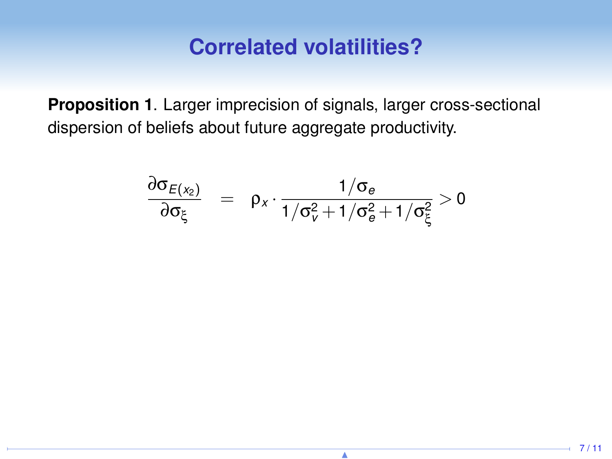#### **Correlated volatilities?**

**Proposition 1**. Larger imprecision of signals, larger cross-sectional dispersion of beliefs about future aggregate productivity.

$$
\frac{\partial \sigma_{E(x_2)}}{\partial \sigma_{\xi}} = \rho_x \cdot \frac{1/\sigma_e}{1/\sigma_v^2 + 1/\sigma_e^2 + 1/\sigma_{\xi}^2} > 0
$$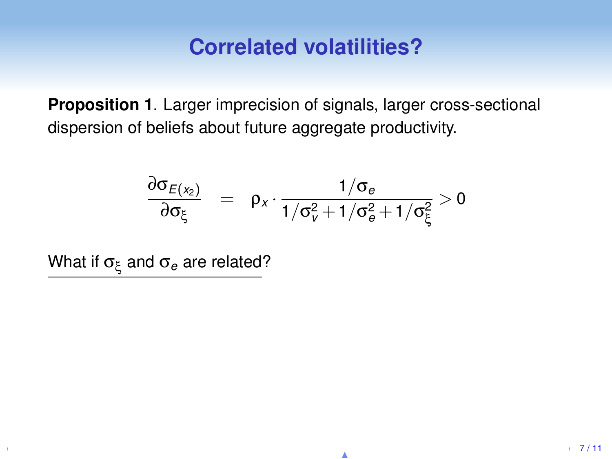#### **Correlated volatilities?**

**Proposition 1**. Larger imprecision of signals, larger cross-sectional dispersion of beliefs about future aggregate productivity.

$$
\frac{\partial \sigma_{E(x_2)}}{\partial \sigma_{\xi}} = \rho_x \cdot \frac{1/\sigma_e}{1/\sigma_v^2 + 1/\sigma_e^2 + 1/\sigma_{\xi}^2} > 0
$$

What if σ<sup>ξ</sup> and σ*<sup>e</sup>* are related?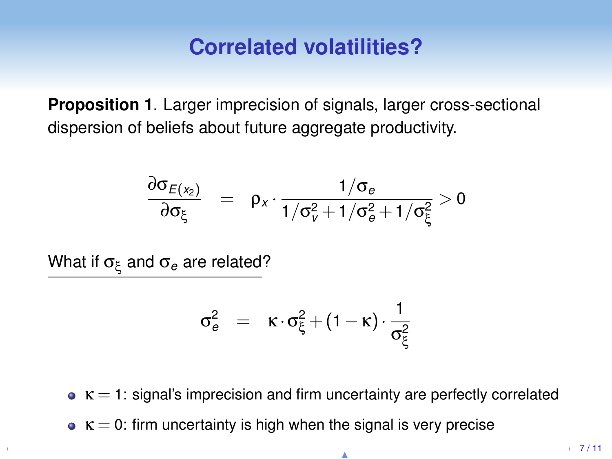#### **Correlated volatilities?**

**Proposition 1**. Larger imprecision of signals, larger cross-sectional dispersion of beliefs about future aggregate productivity.

$$
\frac{\partial \sigma_{E(x_2)}}{\partial \sigma_{\xi}} = \rho_x \cdot \frac{1/\sigma_e}{1/\sigma_v^2 + 1/\sigma_e^2 + 1/\sigma_{\xi}^2} > 0
$$

What if σ<sup>ξ</sup> and σ*<sup>e</sup>* are related?

$$
\sigma_e^2 = \kappa \cdot \sigma_\xi^2 + (1 - \kappa) \cdot \frac{1}{\sigma_\xi^2}
$$

- $\bullet$  K = 1: signal's imprecision and firm uncertainty are perfectly correlated
- $\kappa = 0$ : firm uncertainty is high when the signal is very precise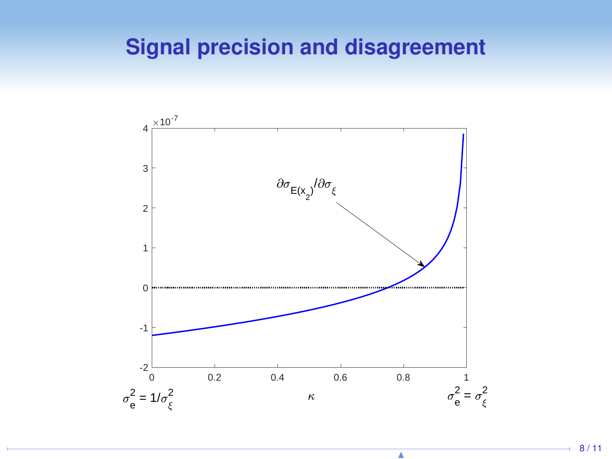# **Signal precision and disagreement**



N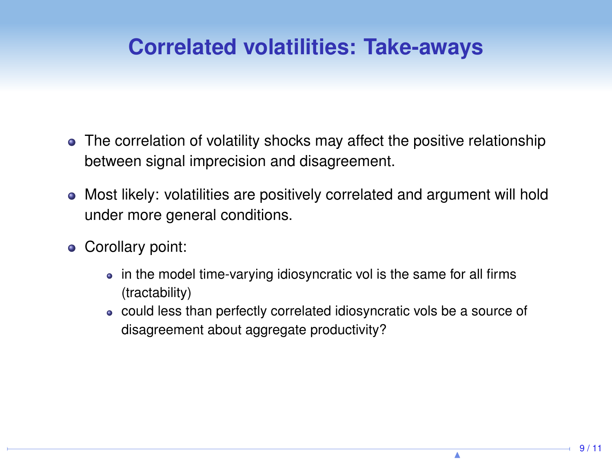# **Correlated volatilities: Take-aways**

- The correlation of volatility shocks may affect the positive relationship between signal imprecision and disagreement.
- Most likely: volatilities are positively correlated and argument will hold under more general conditions.
- Corollary point:
	- in the model time-varying idiosyncratic vol is the same for all firms (tractability)
	- could less than perfectly correlated idiosyncratic vols be a source of disagreement about aggregate productivity?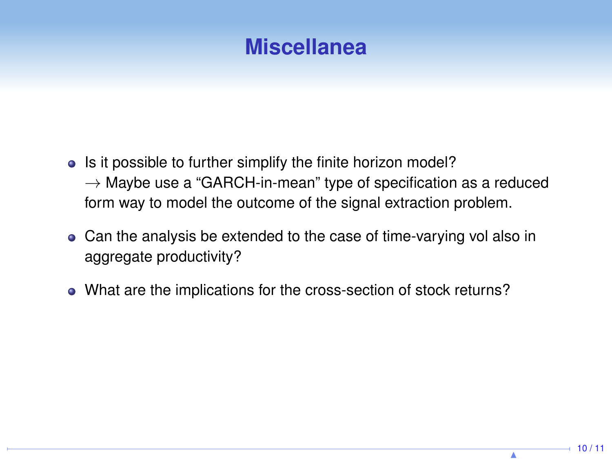

- Is it possible to further simplify the finite horizon model?  $\rightarrow$  Maybe use a "GARCH-in-mean" type of specification as a reduced form way to model the outcome of the signal extraction problem.
- Can the analysis be extended to the case of time-varying vol also in aggregate productivity?
- What are the implications for the cross-section of stock returns?

N